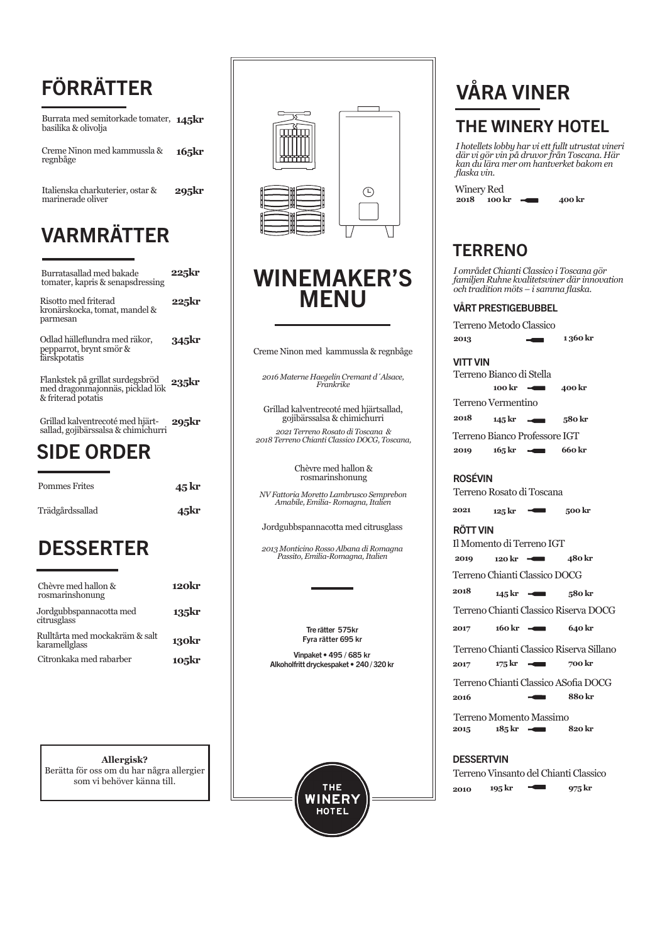## FÖRRÄTTER

Burrata med semitorkade tomater, **145kr** basilika & olivolja

Creme Ninon med kammussla & regnbåge **165kr**

Italienska charkuterier, ostar & **295kr**<br>marinerade oliver

## VARMRÄTTER

| Burratasallad med bakade<br>tomater, kapris & senapsdressing                              | 225kr |  |
|-------------------------------------------------------------------------------------------|-------|--|
| Risotto med friterad<br>kronärskocka, tomat, mandel &<br>parmesan                         | 225kr |  |
| Odlad hälleflundra med räkor,<br>pepparrot, brynt smör &<br>färskpotatis                  | 345kr |  |
| Flankstek på grillat surdegsbröd<br>med dragonmajonnäs, picklad lök<br>& friterad potatis | 235kr |  |
| Grillad kalventrecoté med hjärt-<br>sallad. gojibärssalsa & chimi̇̃churri                 | 295kr |  |

### SIDE ORDER

| <b>Pommes Frites</b> | $45\,\mathrm{kr}$ |
|----------------------|-------------------|
| Trädgårdssallad      | 45kr              |

### **DESSERTER**

| Chèvre med hallon &<br>rosmarinshonung          | 120kr |
|-------------------------------------------------|-------|
| Jordgubbspannacotta med<br>citrusglass          | 135kr |
| Rulltårta med mockakräm & salt<br>karamellglass | 130kr |
| Citronkaka med rabarber                         | 105kr |

**Allergisk?** Berätta för oss om du har några allergier som vi behöver känna till.



### WINEMAKER'S MENU

Creme Ninon med kammussla & regnbåge

*2016 Materne Haegelin Cremant d´Alsace, Frankrike* 

Grillad kalventrecoté med hjärtsallad, gojibärssalsa & chimichurri *2021 Terreno Rosato di Toscana & 2018 Terreno Chianti Classico DOCG, Toscana,* 

> Chèvre med hallon & rosmarinshonung

*NV Fattoria Moretto Lambrusco Semprebon Amabile, Emilia- Romagna, Italien* 

Jordgubbspannacotta med citrusglass

*2013 Monticino Rosso Albana di Romagna Passito, Emilia-Romagna, Italien* 

> Tre rätter 575kr Fyra rätter 695 kr

Vinpaket • 495 / 685 kr Alkoholfritt dryckespaket • 240 / 320 kr



# VÅRA VINER

### THE WINERY HOTEL

*I hotellets lobby har vi ett fullt utrustat vineri där vi gör vin på druvor från Toscana. Här kan du lära mer om hantverket bakom en flaska vin.* 

Winery Red **2018 100 kr**  $\rightarrow$  **400 kr** 

### **TERRENO**

*I området Chianti Classico i Toscana gör familjen Ruhne kvalitetsviner där innovation och tradition möts – i samma flaska.*

#### VÅRT PRESTIGEBUBBEL

Terreno Metodo Classico

**2013 1 360 kr**

#### VITT VIN

Terreno Bianco Professore IGT Terreno Bianco di Stella **145 kr 580 kr 165 kr 660 kr 100 kr 400 kr** Terreno Vermentino **2019 2018**

#### ROSÉVIN

Terreno Rosato di Toscana

**2021 125 kr 500 kr**

#### RÖTT VIN

Terreno Chianti Classico DOCG Terreno Chianti Classico Riserva DOCG Terreno Chianti Classico ASofia DOCG Il Momento di Terreno IGT **145 kr 580 kr 2016 880 kr 120 kr 480 kr 820 kr** Terreno Momento Massimo **2015** Terreno Chianti Classico Riserva Sillano **2017 175 kr 700 kr 2018 2017 160 kr 640 kr 185 kr 2019**

**DESSERTVIN** 

Terreno Vinsanto del Chianti Classico **2010 195 kr 975 kr**